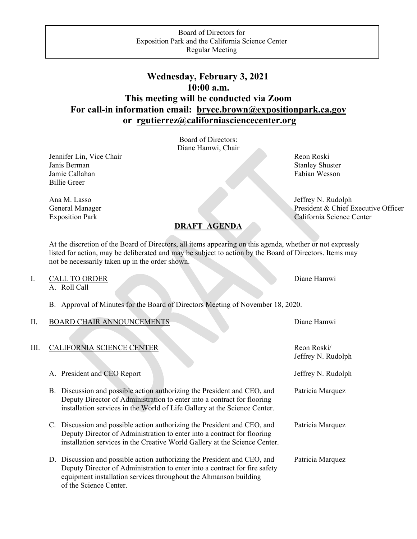## **Wednesday, February 3, 2021 10:00 a.m. This meeting will be conducted via Zoom For call-in information email: [bryce.brown@expositionpark.ca.gov](mailto:bryce.brown@expositionpark.ca.gov) or [rgutierrez@californiasciencecenter.org](mailto:rgutierrez@californiasciencecenter.org)**

Board of Directors: Diane Hamwi, Chair

Jennifer Lin, Vice Chair Revenue and The Reon Roski Janis Berman Stanley Shuster Jamie Callahan Fabian Wesson Fabian Wesson Billie Greer

Ana M. Lasso Jeffrey N. Rudolph General Manager President & Chief Executive Officer Exposition Park California Science Center

At the discretion of the Board of Directors, all items appearing on this agenda, whether or not expressly listed for action, may be deliberated and may be subject to action by the Board of Directors. Items may not be necessarily taken up in the order shown.

**DRAFT AGENDA**

| <br>TO ORDER<br>CALL |  |  | Diane Hamwi |
|----------------------|--|--|-------------|
|                      |  |  |             |

A. Roll Call

B. Approval of Minutes for the Board of Directors Meeting of November 18, 2020.

| Π. | <b>BOARD CHAIR ANNOUNCEMENTS</b>                                                                                                                                                                                                                     | Diane Hamwi                       |
|----|------------------------------------------------------------------------------------------------------------------------------------------------------------------------------------------------------------------------------------------------------|-----------------------------------|
| Ш. | CALIFORNIA SCIENCE CENTER                                                                                                                                                                                                                            | Reon Roski/<br>Jeffrey N. Rudolph |
|    | A. President and CEO Report                                                                                                                                                                                                                          | Jeffrey N. Rudolph                |
|    | B. Discussion and possible action authorizing the President and CEO, and<br>Deputy Director of Administration to enter into a contract for flooring<br>installation services in the World of Life Gallery at the Science Center.                     | Patricia Marquez                  |
|    | C. Discussion and possible action authorizing the President and CEO, and<br>Deputy Director of Administration to enter into a contract for flooring<br>installation services in the Creative World Gallery at the Science Center.                    | Patricia Marquez                  |
|    | D. Discussion and possible action authorizing the President and CEO, and<br>Deputy Director of Administration to enter into a contract for fire safety<br>equipment installation services throughout the Ahmanson building<br>of the Science Center. | Patricia Marquez                  |